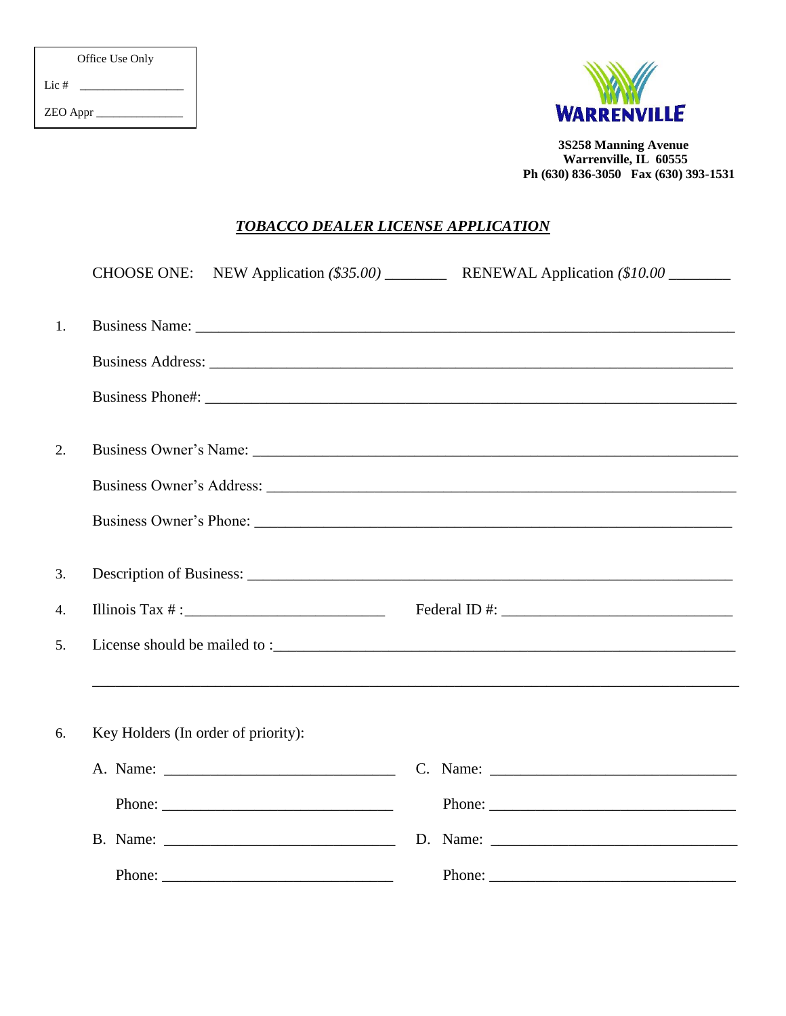| Office Use Only |
|-----------------|
| Lic $#$         |
| <b>ZEO</b> Appr |



3S258 Manning Avenue Warrenville, IL 60555 Ph (630) 836-3050 Fax (630) 393-1531

## **TOBACCO DEALER LICENSE APPLICATION**

|    |                                     | CHOOSE ONE: NEW Application (\$35.00) _____________ RENEWAL Application (\$10.00 ________                                                                                                                                                                                                                                                                                                                    |
|----|-------------------------------------|--------------------------------------------------------------------------------------------------------------------------------------------------------------------------------------------------------------------------------------------------------------------------------------------------------------------------------------------------------------------------------------------------------------|
|    |                                     |                                                                                                                                                                                                                                                                                                                                                                                                              |
| 1. |                                     | Business Name: Name: Name: Name: Name: Name: Name: Name: Name: Name: Name: Name: Name: Name: Name: Name: Name: Name: Name: Name: Name: Name: Name: Name: Name: Name: Name: Name: Name: Name: Name: Name: Name: Name: Name: Nam                                                                                                                                                                               |
|    |                                     |                                                                                                                                                                                                                                                                                                                                                                                                              |
|    |                                     |                                                                                                                                                                                                                                                                                                                                                                                                              |
| 2. |                                     |                                                                                                                                                                                                                                                                                                                                                                                                              |
|    |                                     |                                                                                                                                                                                                                                                                                                                                                                                                              |
|    |                                     |                                                                                                                                                                                                                                                                                                                                                                                                              |
| 3. |                                     |                                                                                                                                                                                                                                                                                                                                                                                                              |
| 4. | Illinois Tax $\#$ :                 |                                                                                                                                                                                                                                                                                                                                                                                                              |
| 5. |                                     |                                                                                                                                                                                                                                                                                                                                                                                                              |
|    |                                     | ,我们也不会有什么。""我们的人,我们也不会有什么?""我们的人,我们也不会有什么?""我们的人,我们也不会有什么?""我们的人,我们也不会有什么?""我们的人                                                                                                                                                                                                                                                                                                                             |
| 6. | Key Holders (In order of priority): |                                                                                                                                                                                                                                                                                                                                                                                                              |
|    |                                     | C. Name: $\frac{1}{\sqrt{1-\frac{1}{2}} \cdot \frac{1}{2}}$                                                                                                                                                                                                                                                                                                                                                  |
|    | Phone: $\frac{1}{1}$                | Phone: $\frac{1}{\sqrt{1-\frac{1}{2}}\sqrt{1-\frac{1}{2}}\sqrt{1-\frac{1}{2}}\sqrt{1-\frac{1}{2}}\sqrt{1-\frac{1}{2}}\sqrt{1-\frac{1}{2}}\sqrt{1-\frac{1}{2}}\sqrt{1-\frac{1}{2}}\sqrt{1-\frac{1}{2}}\sqrt{1-\frac{1}{2}}\sqrt{1-\frac{1}{2}}\sqrt{1-\frac{1}{2}}\sqrt{1-\frac{1}{2}}\sqrt{1-\frac{1}{2}}\sqrt{1-\frac{1}{2}}\sqrt{1-\frac{1}{2}}\sqrt{1-\frac{1}{2}}\sqrt{1-\frac{1}{2}}\sqrt{1-\frac{1}{2$ |
|    |                                     |                                                                                                                                                                                                                                                                                                                                                                                                              |
|    | Phone: $\frac{1}{1}$                | Phone: $\frac{1}{1}$                                                                                                                                                                                                                                                                                                                                                                                         |